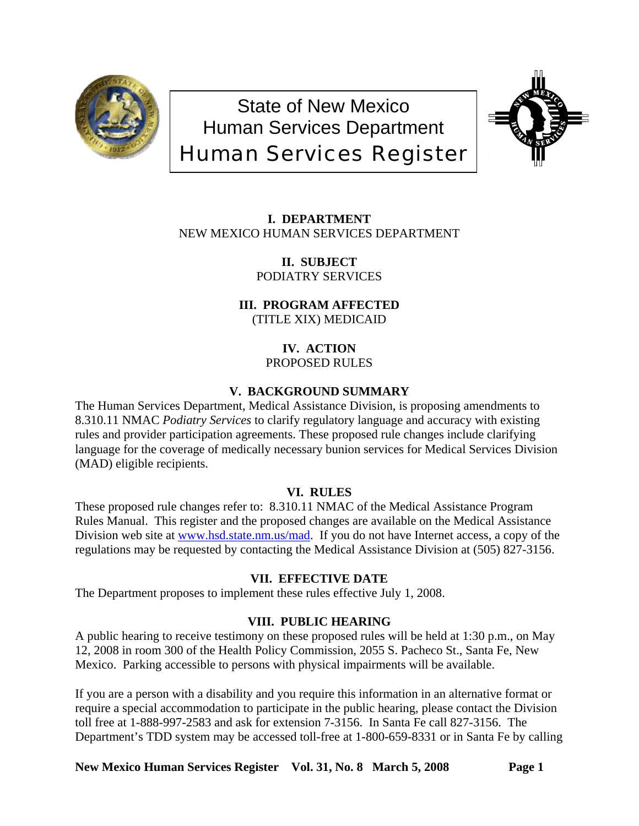

State of New Mexico Human Services Department Human Services Register



**I. DEPARTMENT** NEW MEXICO HUMAN SERVICES DEPARTMENT

> **II. SUBJECT** PODIATRY SERVICES

**III. PROGRAM AFFECTED** (TITLE XIX) MEDICAID

> **IV. ACTION** PROPOSED RULES

# **V. BACKGROUND SUMMARY**

The Human Services Department, Medical Assistance Division, is proposing amendments to 8.310.11 NMAC *Podiatry Services* to clarify regulatory language and accuracy with existing rules and provider participation agreements. These proposed rule changes include clarifying language for the coverage of medically necessary bunion services for Medical Services Division (MAD) eligible recipients.

# **VI. RULES**

These proposed rule changes refer to: 8.310.11 NMAC of the Medical Assistance Program Rules Manual. This register and the proposed changes are available on the Medical Assistance Division web site at [www.hsd.state.nm.us/mad](http://www.hsd.state.nm.us/mad). If you do not have Internet access, a copy of the regulations may be requested by contacting the Medical Assistance Division at (505) 827-3156.

# **VII. EFFECTIVE DATE**

The Department proposes to implement these rules effective July 1, 2008.

# **VIII. PUBLIC HEARING**

A public hearing to receive testimony on these proposed rules will be held at 1:30 p.m., on May 12, 2008 in room 300 of the Health Policy Commission, 2055 S. Pacheco St., Santa Fe, New Mexico. Parking accessible to persons with physical impairments will be available.

If you are a person with a disability and you require this information in an alternative format or require a special accommodation to participate in the public hearing, please contact the Division toll free at 1-888-997-2583 and ask for extension 7-3156. In Santa Fe call 827-3156. The Department's TDD system may be accessed toll-free at 1-800-659-8331 or in Santa Fe by calling

New Mexico Human Services Register Vol. 31, No. 8 March 5, 2008 Page 1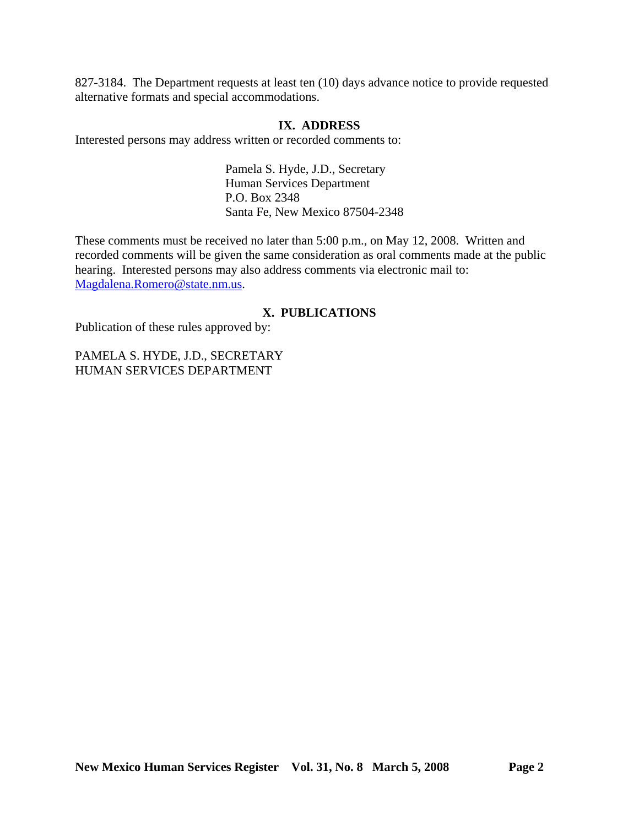827-3184. The Department requests at least ten (10) days advance notice to provide requested alternative formats and special accommodations.

### **IX. ADDRESS**

Interested persons may address written or recorded comments to:

Pamela S. Hyde, J.D., Secretary Human Services Department P.O. Box 2348 Santa Fe, New Mexico 87504-2348

These comments must be received no later than 5:00 p.m., on May 12, 2008. Written and recorded comments will be given the same consideration as oral comments made at the public hearing. Interested persons may also address comments via electronic mail to: [Magdalena.Romero@state.nm.us.](mailto:Magdalena.Romero@state.nm.us)

# **X. PUBLICATIONS**

Publication of these rules approved by:

PAMELA S. HYDE, J.D., SECRETARY HUMAN SERVICES DEPARTMENT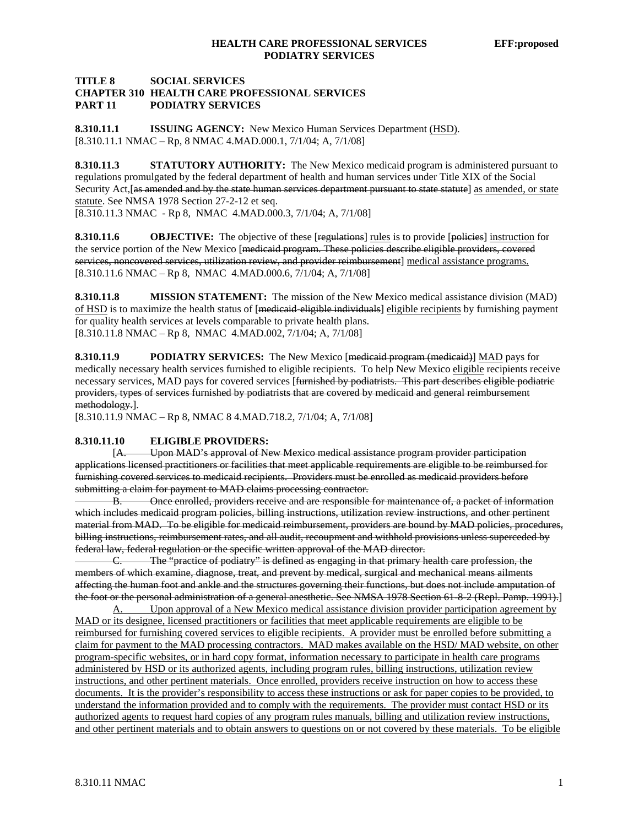#### **TITLE 8 SOCIAL SERVICES CHAPTER 310 HEALTH CARE PROFESSIONAL SERVICES PART 11 PODIATRY SERVICES**

**8.310.11.1 ISSUING AGENCY:** New Mexico Human Services Department (HSD). [8.310.11.1 NMAC – Rp, 8 NMAC 4.MAD.000.1, 7/1/04; A, 7/1/08]

**8.310.11.3 STATUTORY AUTHORITY:** The New Mexico medicaid program is administered pursuant to regulations promulgated by the federal department of health and human services under Title XIX of the Social Security Act, [as amended and by the state human services department pursuant to state statute] as amended, or state statute. See NMSA 1978 Section 27-2-12 et seq.

[8.310.11.3 NMAC - Rp 8, NMAC 4.MAD.000.3, 7/1/04; A, 7/1/08]

**8.310.11.6 OBJECTIVE:** The objective of these [regulations] rules is to provide [policies] instruction for the service portion of the New Mexico [medicaid program. These policies describe eligible providers, covered services, noncovered services, utilization review, and provider reimbursement] medical assistance programs. [8.310.11.6 NMAC – Rp 8, NMAC 4.MAD.000.6, 7/1/04; A, 7/1/08]

**8.310.11.8 MISSION STATEMENT:** The mission of the New Mexico medical assistance division (MAD) of HSD is to maximize the health status of [medicaid-eligible individuals] eligible recipients by furnishing payment for quality health services at levels comparable to private health plans. [8.310.11.8 NMAC – Rp 8, NMAC 4.MAD.002, 7/1/04; A, 7/1/08]

**8.310.11.9 PODIATRY SERVICES:** The New Mexico [medicaid program (medicaid)] MAD pays for medically necessary health services furnished to eligible recipients. To help New Mexico eligible recipients receive necessary services, MAD pays for covered services [furnished by podiatrists. This part describes eligible podiatric providers, types of services furnished by podiatrists that are covered by medicaid and general reimbursement methodology.].

[8.310.11.9 NMAC – Rp 8, NMAC 8 4.MAD.718.2, 7/1/04; A, 7/1/08]

#### **8.310.11.10 ELIGIBLE PROVIDERS:**

 [A. Upon MAD's approval of New Mexico medical assistance program provider participation applications licensed practitioners or facilities that meet applicable requirements are eligible to be reimbursed for furnishing covered services to medicaid recipients. Providers must be enrolled as medicaid providers before submitting a claim for payment to MAD claims processing contractor.

B. Once enrolled, providers receive and are responsible for maintenance of, a packet of information which includes medicaid program policies, billing instructions, utilization review instructions, and other pertinent material from MAD. To be eligible for medicaid reimbursement, providers are bound by MAD policies, procedures, billing instructions, reimbursement rates, and all audit, recoupment and withhold provisions unless superceded by federal law, federal regulation or the specific written approval of the MAD director.

C. The "practice of podiatry" is defined as engaging in that primary health care profession, the members of which examine, diagnose, treat, and prevent by medical, surgical and mechanical means ailments affecting the human foot and ankle and the structures governing their functions, but does not include amputation of the foot or the personal administration of a general anesthetic. See NMSA 1978 Section 61-8-2 (Repl. Pamp. 1991).]

A. Upon approval of a New Mexico medical assistance division provider participation agreement by MAD or its designee, licensed practitioners or facilities that meet applicable requirements are eligible to be reimbursed for furnishing covered services to eligible recipients. A provider must be enrolled before submitting a claim for payment to the MAD processing contractors. MAD makes available on the HSD/ MAD website, on other program-specific websites, or in hard copy format, information necessary to participate in health care programs administered by HSD or its authorized agents, including program rules, billing instructions, utilization review instructions, and other pertinent materials. Once enrolled, providers receive instruction on how to access these documents. It is the provider's responsibility to access these instructions or ask for paper copies to be provided, to understand the information provided and to comply with the requirements. The provider must contact HSD or its authorized agents to request hard copies of any program rules manuals, billing and utilization review instructions, and other pertinent materials and to obtain answers to questions on or not covered by these materials. To be eligible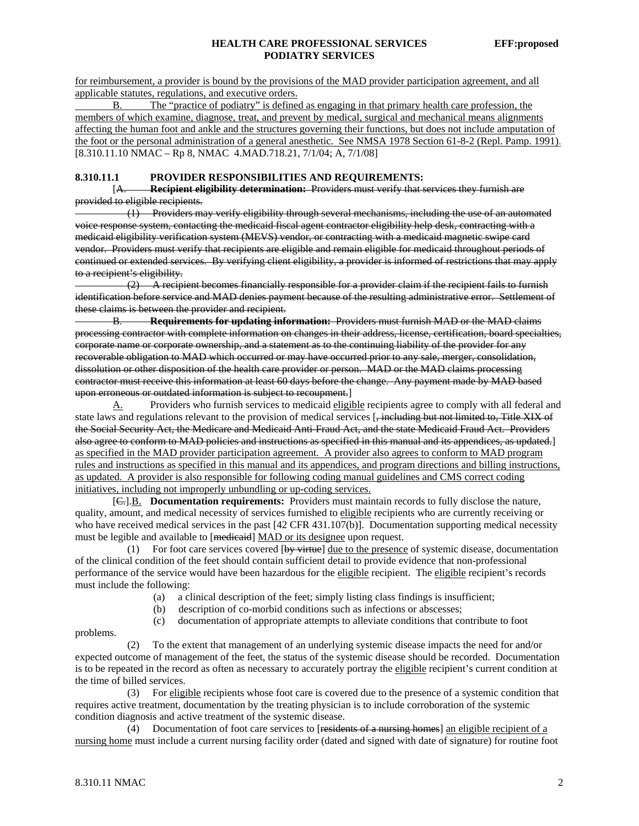for reimbursement, a provider is bound by the provisions of the MAD provider participation agreement, and all applicable statutes, regulations, and executive orders.

 B. The "practice of podiatry" is defined as engaging in that primary health care profession, the members of which examine, diagnose, treat, and prevent by medical, surgical and mechanical means alignments affecting the human foot and ankle and the structures governing their functions, but does not include amputation of the foot or the personal administration of a general anesthetic. See NMSA 1978 Section 61-8-2 (Repl. Pamp. 1991). [8.310.11.10 NMAC – Rp 8, NMAC 4.MAD.718.21, 7/1/04; A, 7/1/08]

#### **8.310.11.1 PROVIDER RESPONSIBILITIES AND REQUIREMENTS:**

 [A. **Recipient eligibility determination:** Providers must verify that services they furnish are provided to eligible recipients.

 (1) Providers may verify eligibility through several mechanisms, including the use of an automated voice response system, contacting the medicaid fiscal agent contractor eligibility help desk, contracting with a medicaid eligibility verification system (MEVS) vendor, or contracting with a medicaid magnetic swipe card vendor. Providers must verify that recipients are eligible and remain eligible for medicaid throughout periods of continued or extended services. By verifying client eligibility, a provider is informed of restrictions that may apply to a recipient's eligibility.

 (2) A recipient becomes financially responsible for a provider claim if the recipient fails to furnish identification before service and MAD denies payment because of the resulting administrative error. Settlement of these claims is between the provider and recipient.

B. **Requirements for updating information:** Providers must furnish MAD or the MAD claims processing contractor with complete information on changes in their address, license, certification, board specialties, corporate name or corporate ownership, and a statement as to the continuing liability of the provider for any recoverable obligation to MAD which occurred or may have occurred prior to any sale, merger, consolidation, dissolution or other disposition of the health care provider or person. MAD or the MAD claims processing contractor must receive this information at least 60 days before the change. Any payment made by MAD based upon erroneous or outdated information is subject to recoupment.]

A. Providers who furnish services to medicaid eligible recipients agree to comply with all federal and state laws and regulations relevant to the provision of medical services [, including but not limited to, Title XIX of the Social Security Act, the Medicare and Medicaid Anti-Fraud Act, and the state Medicaid Fraud Act. Providers also agree to conform to MAD policies and instructions as specified in this manual and its appendices, as updated.] as specified in the MAD provider participation agreement. A provider also agrees to conform to MAD program rules and instructions as specified in this manual and its appendices, and program directions and billing instructions, as updated. A provider is also responsible for following coding manual guidelines and CMS correct coding initiatives, including not improperly unbundling or up-coding services.

 [C.].B. **Documentation requirements:** Providers must maintain records to fully disclose the nature, quality, amount, and medical necessity of services furnished to eligible recipients who are currently receiving or who have received medical services in the past [42 CFR 431.107(b)]. Documentation supporting medical necessity must be legible and available to [medicaid] MAD or its designee upon request.

(1) For foot care services covered  $[by$  virtue] due to the presence of systemic disease, documentation of the clinical condition of the feet should contain sufficient detail to provide evidence that non-professional performance of the service would have been hazardous for the eligible recipient. The eligible recipient's records must include the following:

- (a) a clinical description of the feet; simply listing class findings is insufficient;
- (b) description of co-morbid conditions such as infections or abscesses;
- (c) documentation of appropriate attempts to alleviate conditions that contribute to foot

problems.

 (2) To the extent that management of an underlying systemic disease impacts the need for and/or expected outcome of management of the feet, the status of the systemic disease should be recorded. Documentation is to be repeated in the record as often as necessary to accurately portray the eligible recipient's current condition at the time of billed services.

 (3) For eligible recipients whose foot care is covered due to the presence of a systemic condition that requires active treatment, documentation by the treating physician is to include corroboration of the systemic condition diagnosis and active treatment of the systemic disease.

 (4) Documentation of foot care services to [residents of a nursing homes] an eligible recipient of a nursing home must include a current nursing facility order (dated and signed with date of signature) for routine foot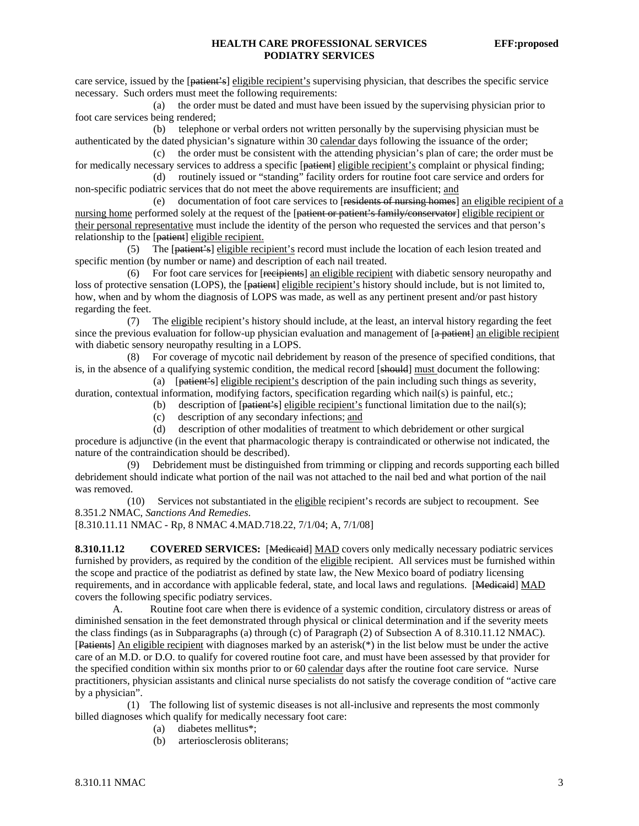care service, issued by the [patient's] eligible recipient's supervising physician, that describes the specific service necessary. Such orders must meet the following requirements:

 (a) the order must be dated and must have been issued by the supervising physician prior to foot care services being rendered;

 (b) telephone or verbal orders not written personally by the supervising physician must be authenticated by the dated physician's signature within 30 calendar days following the issuance of the order;

 (c) the order must be consistent with the attending physician's plan of care; the order must be for medically necessary services to address a specific [patient] eligible recipient's complaint or physical finding;

 (d) routinely issued or "standing" facility orders for routine foot care service and orders for non-specific podiatric services that do not meet the above requirements are insufficient; and

 (e) documentation of foot care services to [residents of nursing homes] an eligible recipient of a nursing home performed solely at the request of the [patient or patient's family/conservator] eligible recipient or their personal representative must include the identity of the person who requested the services and that person's relationship to the [patient] eligible recipient.

 (5) The [patient's] eligible recipient's record must include the location of each lesion treated and specific mention (by number or name) and description of each nail treated.

 (6) For foot care services for [recipients] an eligible recipient with diabetic sensory neuropathy and loss of protective sensation (LOPS), the [patient] eligible recipient's history should include, but is not limited to, how, when and by whom the diagnosis of LOPS was made, as well as any pertinent present and/or past history regarding the feet.

 (7) The eligible recipient's history should include, at the least, an interval history regarding the feet since the previous evaluation for follow-up physician evaluation and management of [a patient] an eligible recipient with diabetic sensory neuropathy resulting in a LOPS.

 (8) For coverage of mycotic nail debridement by reason of the presence of specified conditions, that is, in the absence of a qualifying systemic condition, the medical record [should] must document the following:

 (a) [patient's] eligible recipient's description of the pain including such things as severity, duration, contextual information, modifying factors, specification regarding which nail(s) is painful, etc.;

(b) description of  $[**patient's**]$  eligible recipient's functional limitation due to the nail(s);

(c) description of any secondary infections; and

 (d) description of other modalities of treatment to which debridement or other surgical procedure is adjunctive (in the event that pharmacologic therapy is contraindicated or otherwise not indicated, the nature of the contraindication should be described).

 (9) Debridement must be distinguished from trimming or clipping and records supporting each billed debridement should indicate what portion of the nail was not attached to the nail bed and what portion of the nail was removed.

 (10) Services not substantiated in the eligible recipient's records are subject to recoupment. See 8.351.2 NMAC, *Sanctions And Remedies*.

[8.310.11.11 NMAC - Rp, 8 NMAC 4.MAD.718.22, 7/1/04; A, 7/1/08]

8.310.11.12 COVERED SERVICES: [Medicaid] MAD covers only medically necessary podiatric services furnished by providers, as required by the condition of the eligible recipient. All services must be furnished within the scope and practice of the podiatrist as defined by state law, the New Mexico board of podiatry licensing requirements, and in accordance with applicable federal, state, and local laws and regulations. [Medicaid] MAD covers the following specific podiatry services.

 A. Routine foot care when there is evidence of a systemic condition, circulatory distress or areas of diminished sensation in the feet demonstrated through physical or clinical determination and if the severity meets the class findings (as in Subparagraphs (a) through (c) of Paragraph (2) of Subsection A of 8.310.11.12 NMAC). [Patients] An eligible recipient with diagnoses marked by an asterisk(\*) in the list below must be under the active care of an M.D. or D.O. to qualify for covered routine foot care, and must have been assessed by that provider for the specified condition within six months prior to or 60 calendar days after the routine foot care service. Nurse practitioners, physician assistants and clinical nurse specialists do not satisfy the coverage condition of "active care by a physician".

 (1) The following list of systemic diseases is not all-inclusive and represents the most commonly billed diagnoses which qualify for medically necessary foot care:

- (a) diabetes mellitus\*;
- (b) arteriosclerosis obliterans;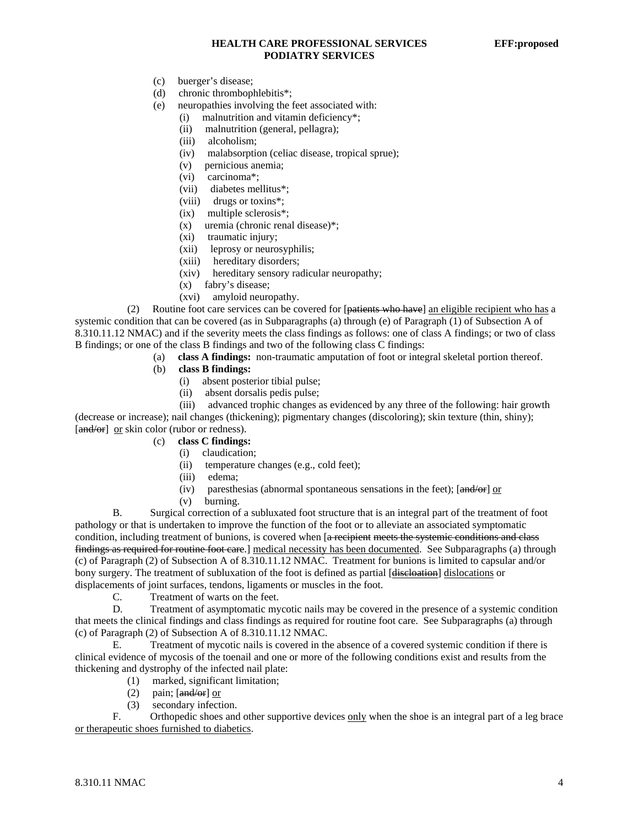#### **HEALTH CARE PROFESSIONAL SERVICES EFF:proposed PODIATRY SERVICES**

- (c) buerger's disease;
- (d) chronic thrombophlebitis\*;
- (e) neuropathies involving the feet associated with:
	- (i) malnutrition and vitamin deficiency\*;
	- (ii) malnutrition (general, pellagra);
	- (iii) alcoholism;
	- (iv) malabsorption (celiac disease, tropical sprue);
	- (v) pernicious anemia;
	- (vi) carcinoma\*;
	- (vii) diabetes mellitus\*;
	- (viii) drugs or toxins\*;
	- (ix) multiple sclerosis\*;
	- (x) uremia (chronic renal disease)\*;
	- (xi) traumatic injury;
	- (xii) leprosy or neurosyphilis;
	- (xiii) hereditary disorders;
	- (xiv) hereditary sensory radicular neuropathy;
	- (x) fabry's disease;
	- (xvi) amyloid neuropathy.

 (2) Routine foot care services can be covered for [patients who have] an eligible recipient who has a systemic condition that can be covered (as in Subparagraphs (a) through (e) of Paragraph (1) of Subsection A of 8.310.11.12 NMAC) and if the severity meets the class findings as follows: one of class A findings; or two of class B findings; or one of the class B findings and two of the following class C findings:

- (a) **class A findings:** non-traumatic amputation of foot or integral skeletal portion thereof.
	- (b) **class B findings:**
		- (i) absent posterior tibial pulse;
		- (ii) absent dorsalis pedis pulse;

 (iii) advanced trophic changes as evidenced by any three of the following: hair growth (decrease or increase); nail changes (thickening); pigmentary changes (discoloring); skin texture (thin, shiny); [and/or] or skin color (rubor or redness).

- (c) **class C findings:**
	- (i) claudication;
	- (ii) temperature changes (e.g., cold feet);
	- (iii) edema;
	- (iv) paresthesias (abnormal spontaneous sensations in the feet);  $[\text{and/or}]$  or
	- (v) burning.

 B. Surgical correction of a subluxated foot structure that is an integral part of the treatment of foot pathology or that is undertaken to improve the function of the foot or to alleviate an associated symptomatic condition, including treatment of bunions, is covered when [a recipient meets the systemic conditions and class findings as required for routine foot care.] medical necessity has been documented. See Subparagraphs (a) through (c) of Paragraph (2) of Subsection A of 8.310.11.12 NMAC. Treatment for bunions is limited to capsular and/or bony surgery. The treatment of subluxation of the foot is defined as partial [discloation] dislocations or displacements of joint surfaces, tendons, ligaments or muscles in the foot.

C. Treatment of warts on the feet.

 D. Treatment of asymptomatic mycotic nails may be covered in the presence of a systemic condition that meets the clinical findings and class findings as required for routine foot care. See Subparagraphs (a) through (c) of Paragraph (2) of Subsection A of 8.310.11.12 NMAC.

 E. Treatment of mycotic nails is covered in the absence of a covered systemic condition if there is clinical evidence of mycosis of the toenail and one or more of the following conditions exist and results from the thickening and dystrophy of the infected nail plate:

- (1) marked, significant limitation;
- (2) pain;  $\left[\frac{\text{and}}{\text{or}}\right]$  or
- (3) secondary infection.

F. Orthopedic shoes and other supportive devices only when the shoe is an integral part of a leg brace or therapeutic shoes furnished to diabetics.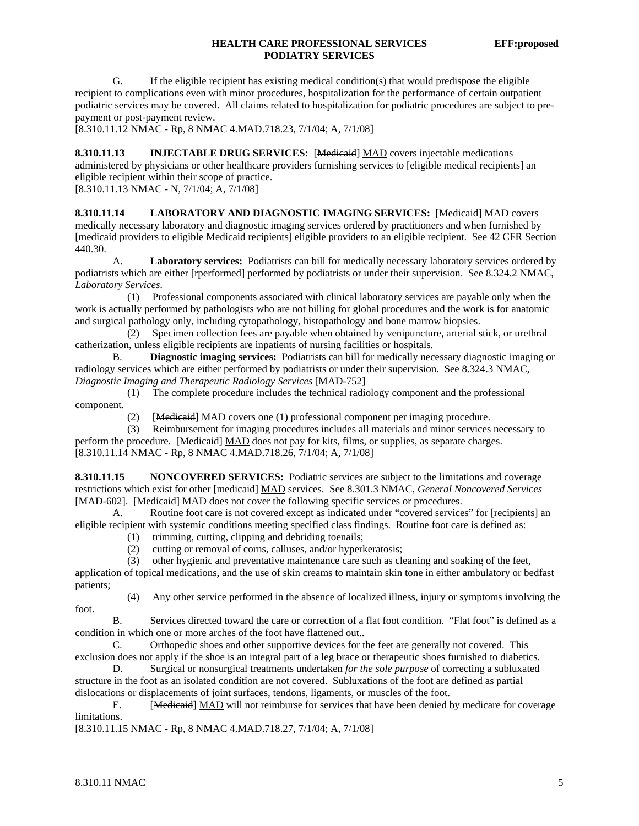#### **HEALTH CARE PROFESSIONAL SERVICES EFF:proposed PODIATRY SERVICES**

G. If the eligible recipient has existing medical condition(s) that would predispose the eligible recipient to complications even with minor procedures, hospitalization for the performance of certain outpatient podiatric services may be covered. All claims related to hospitalization for podiatric procedures are subject to prepayment or post-payment review.

[8.310.11.12 NMAC - Rp, 8 NMAC 4.MAD.718.23, 7/1/04; A, 7/1/08]

**8.310.11.13** INJECTABLE DRUG SERVICES: [Medicaid] MAD covers injectable medications administered by physicians or other healthcare providers furnishing services to [eligible medical recipients] an eligible recipient within their scope of practice.

 $[8.310.11.13 NMAC - N, 7/1/04; A, 7/1/08]$ 

**8.310.11.14 LABORATORY AND DIAGNOSTIC IMAGING SERVICES:** [Medicaid] MAD covers medically necessary laboratory and diagnostic imaging services ordered by practitioners and when furnished by [medicaid providers to eligible Medicaid recipients] eligible providers to an eligible recipient. See 42 CFR Section 440.30.

 A. **Laboratory services:** Podiatrists can bill for medically necessary laboratory services ordered by podiatrists which are either [rperformed] performed by podiatrists or under their supervision. See 8.324.2 NMAC, *Laboratory Services*.

 (1) Professional components associated with clinical laboratory services are payable only when the work is actually performed by pathologists who are not billing for global procedures and the work is for anatomic and surgical pathology only, including cytopathology, histopathology and bone marrow biopsies.

 (2) Specimen collection fees are payable when obtained by venipuncture, arterial stick, or urethral catherization, unless eligible recipients are inpatients of nursing facilities or hospitals.

 B. **Diagnostic imaging services:** Podiatrists can bill for medically necessary diagnostic imaging or radiology services which are either performed by podiatrists or under their supervision. See 8.324.3 NMAC, *Diagnostic Imaging and Therapeutic Radiology Services* [MAD-752]

 (1) The complete procedure includes the technical radiology component and the professional component.

(2) [Medicaid] MAD covers one (1) professional component per imaging procedure.

 (3) Reimbursement for imaging procedures includes all materials and minor services necessary to perform the procedure. [Medicaid] MAD does not pay for kits, films, or supplies, as separate charges. [8.310.11.14 NMAC - Rp, 8 NMAC 4.MAD.718.26, 7/1/04; A, 7/1/08]

**8.310.11.15 NONCOVERED SERVICES:** Podiatric services are subject to the limitations and coverage restrictions which exist for other [medicaid] MAD services. See 8.301.3 NMAC, *General Noncovered Services* [MAD-602]. [Medicaid] MAD does not cover the following specific services or procedures.

A. Routine foot care is not covered except as indicated under "covered services" for [recipients] an eligible recipient with systemic conditions meeting specified class findings. Routine foot care is defined as:

- (1) trimming, cutting, clipping and debriding toenails;
- (2) cutting or removal of corns, calluses, and/or hyperkeratosis;
- (3) other hygienic and preventative maintenance care such as cleaning and soaking of the feet,

application of topical medications, and the use of skin creams to maintain skin tone in either ambulatory or bedfast patients;

foot.

(4) Any other service performed in the absence of localized illness, injury or symptoms involving the

 B. Services directed toward the care or correction of a flat foot condition. "Flat foot" is defined as a condition in which one or more arches of the foot have flattened out..

 C. Orthopedic shoes and other supportive devices for the feet are generally not covered. This exclusion does not apply if the shoe is an integral part of a leg brace or therapeutic shoes furnished to diabetics.

 D. Surgical or nonsurgical treatments undertaken *for the sole purpose* of correcting a subluxated structure in the foot as an isolated condition are not covered. Subluxations of the foot are defined as partial dislocations or displacements of joint surfaces, tendons, ligaments, or muscles of the foot.

 E. [Medicaid] MAD will not reimburse for services that have been denied by medicare for coverage limitations.

[8.310.11.15 NMAC - Rp, 8 NMAC 4.MAD.718.27, 7/1/04; A, 7/1/08]